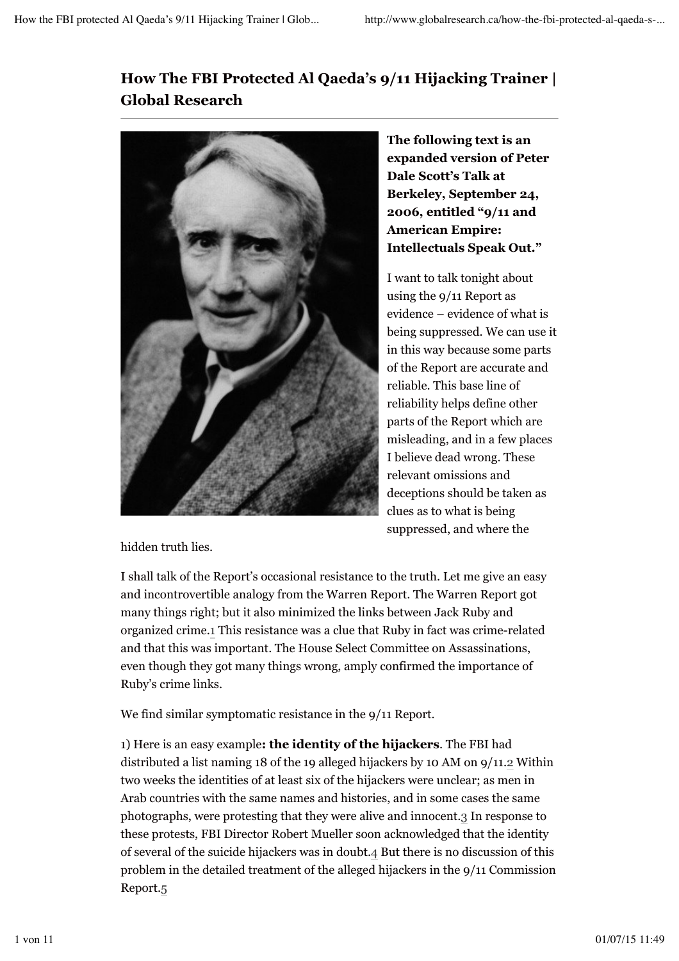## **How The FBI Protected Al Qaeda's 9/11 Hijacking Trainer | Global Research**



**The following text is an expanded version of Peter Dale Scott's Talk at Berkeley, September 24, 2006, entitled "9/11 and American Empire: Intellectuals Speak Out."**

I want to talk tonight about using the 9/11 Report as evidence – evidence of what is being suppressed. We can use it in this way because some parts of the Report are accurate and reliable. This base line of reliability helps define other parts of the Report which are misleading, and in a few places I believe dead wrong. These relevant omissions and deceptions should be taken as clues as to what is being suppressed, and where the

hidden truth lies.

I shall talk of the Report's occasional resistance to the truth. Let me give an easy and incontrovertible analogy from the Warren Report. The Warren Report got many things right; but it also minimized the links between Jack Ruby and organized crime.1 This resistance was a clue that Ruby in fact was crime-related and that this was important. The House Select Committee on Assassinations, even though they got many things wrong, amply confirmed the importance of Ruby's crime links.

We find similar symptomatic resistance in the 9/11 Report.

1) Here is an easy example**: the identity of the hijackers**. The FBI had distributed a list naming 18 of the 19 alleged hijackers by 10 AM on 9/11.2 Within two weeks the identities of at least six of the hijackers were unclear; as men in Arab countries with the same names and histories, and in some cases the same photographs, were protesting that they were alive and innocent.3 In response to these protests, FBI Director Robert Mueller soon acknowledged that the identity of several of the suicide hijackers was in doubt.4 But there is no discussion of this problem in the detailed treatment of the alleged hijackers in the 9/11 Commission Report.5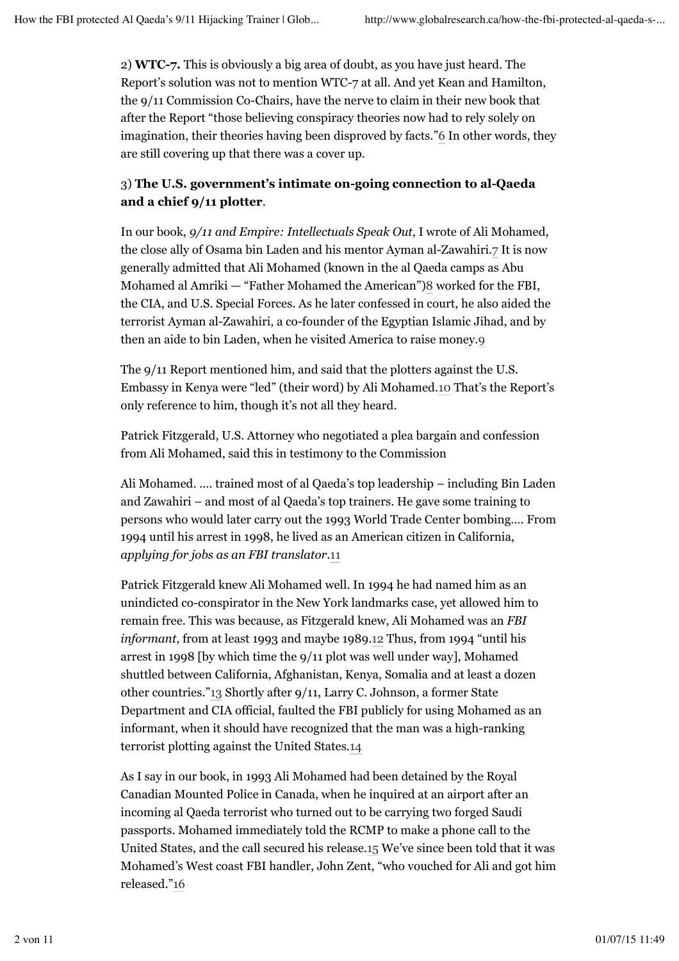2) **WTC-7.** This is obviously a big area of doubt, as you have just heard. The Report's solution was not to mention WTC-7 at all. And yet Kean and Hamilton, the 9/11 Commission Co-Chairs, have the nerve to claim in their new book that after the Report "those believing conspiracy theories now had to rely solely on imagination, their theories having been disproved by facts."6 In other words, they are still covering up that there was a cover up.

## 3) **The U.S. government's intimate on-going connection to al-Qaeda and a chief 9/11 plotter**.

In our book, *9/11 and Empire: Intellectuals Speak Out*, I wrote of Ali Mohamed, the close ally of Osama bin Laden and his mentor Ayman al-Zawahiri.7 It is now generally admitted that Ali Mohamed (known in the al Qaeda camps as Abu Mohamed al Amriki — "Father Mohamed the American")8 worked for the FBI, the CIA, and U.S. Special Forces. As he later confessed in court, he also aided the terrorist Ayman al-Zawahiri, a co-founder of the Egyptian Islamic Jihad, and by then an aide to bin Laden, when he visited America to raise money.9

The 9/11 Report mentioned him, and said that the plotters against the U.S. Embassy in Kenya were "led" (their word) by Ali Mohamed.10 That's the Report's only reference to him, though it's not all they heard.

Patrick Fitzgerald, U.S. Attorney who negotiated a plea bargain and confession from Ali Mohamed, said this in testimony to the Commission

Ali Mohamed. …. trained most of al Qaeda's top leadership – including Bin Laden and Zawahiri – and most of al Qaeda's top trainers. He gave some training to persons who would later carry out the 1993 World Trade Center bombing…. From 1994 until his arrest in 1998, he lived as an American citizen in California, *applying for jobs as an FBI translator*.11

Patrick Fitzgerald knew Ali Mohamed well. In 1994 he had named him as an unindicted co-conspirator in the New York landmarks case, yet allowed him to remain free. This was because, as Fitzgerald knew, Ali Mohamed was an *FBI informant*, from at least 1993 and maybe 1989.12 Thus, from 1994 "until his arrest in 1998 [by which time the 9/11 plot was well under way], Mohamed shuttled between California, Afghanistan, Kenya, Somalia and at least a dozen other countries."13 Shortly after 9/11, Larry C. Johnson, a former State Department and CIA official, faulted the FBI publicly for using Mohamed as an informant, when it should have recognized that the man was a high-ranking terrorist plotting against the United States.14

As I say in our book, in 1993 Ali Mohamed had been detained by the Royal Canadian Mounted Police in Canada, when he inquired at an airport after an incoming al Qaeda terrorist who turned out to be carrying two forged Saudi passports. Mohamed immediately told the RCMP to make a phone call to the United States, and the call secured his release.15 We've since been told that it was Mohamed's West coast FBI handler, John Zent, "who vouched for Ali and got him released."16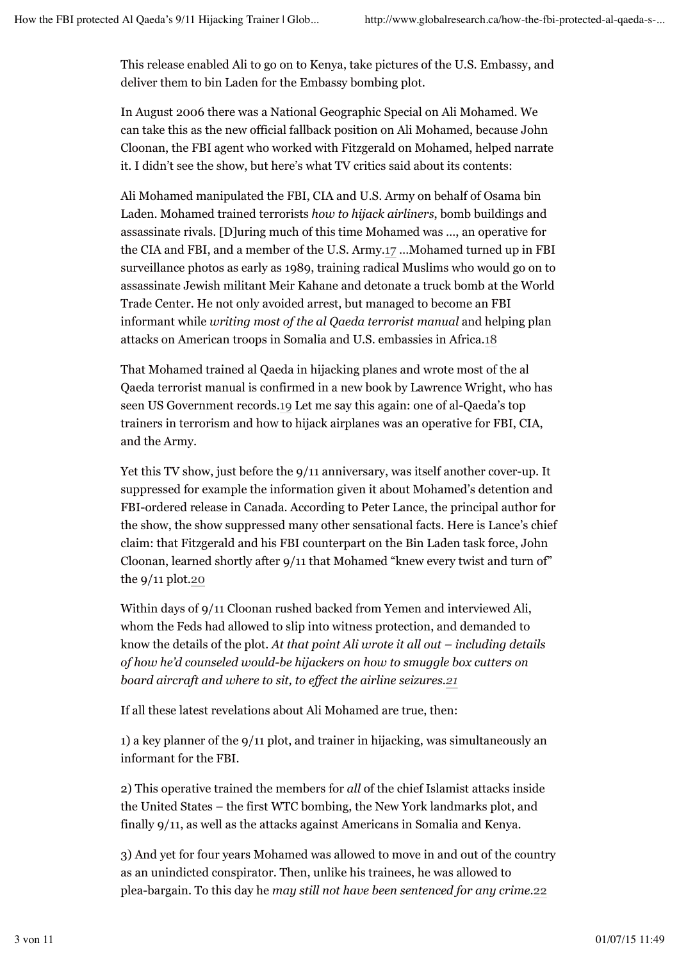This release enabled Ali to go on to Kenya, take pictures of the U.S. Embassy, and deliver them to bin Laden for the Embassy bombing plot.

In August 2006 there was a National Geographic Special on Ali Mohamed. We can take this as the new official fallback position on Ali Mohamed, because John Cloonan, the FBI agent who worked with Fitzgerald on Mohamed, helped narrate it. I didn't see the show, but here's what TV critics said about its contents:

Ali Mohamed manipulated the FBI, CIA and U.S. Army on behalf of Osama bin Laden. Mohamed trained terrorists *how to hijack airliners*, bomb buildings and assassinate rivals. [D]uring much of this time Mohamed was …, an operative for the CIA and FBI, and a member of the U.S. Army.17 …Mohamed turned up in FBI surveillance photos as early as 1989, training radical Muslims who would go on to assassinate Jewish militant Meir Kahane and detonate a truck bomb at the World Trade Center. He not only avoided arrest, but managed to become an FBI informant while *writing most of the al Qaeda terrorist manual* and helping plan attacks on American troops in Somalia and U.S. embassies in Africa.18

That Mohamed trained al Qaeda in hijacking planes and wrote most of the al Qaeda terrorist manual is confirmed in a new book by Lawrence Wright, who has seen US Government records.19 Let me say this again: one of al-Qaeda's top trainers in terrorism and how to hijack airplanes was an operative for FBI, CIA, and the Army.

Yet this TV show, just before the 9/11 anniversary, was itself another cover-up. It suppressed for example the information given it about Mohamed's detention and FBI-ordered release in Canada. According to Peter Lance, the principal author for the show, the show suppressed many other sensational facts. Here is Lance's chief claim: that Fitzgerald and his FBI counterpart on the Bin Laden task force, John Cloonan, learned shortly after 9/11 that Mohamed "knew every twist and turn of" the  $9/11$  plot.20

Within days of 9/11 Cloonan rushed backed from Yemen and interviewed Ali, whom the Feds had allowed to slip into witness protection, and demanded to know the details of the plot. *At that point Ali wrote it all out – including details of how he'd counseled would-be hijackers on how to smuggle box cutters on board aircraft and where to sit, to effect the airline seizures.21*

If all these latest revelations about Ali Mohamed are true, then:

1) a key planner of the 9/11 plot, and trainer in hijacking, was simultaneously an informant for the FBI.

2) This operative trained the members for *all* of the chief Islamist attacks inside the United States – the first WTC bombing, the New York landmarks plot, and finally 9/11, as well as the attacks against Americans in Somalia and Kenya.

3) And yet for four years Mohamed was allowed to move in and out of the country as an unindicted conspirator. Then, unlike his trainees, he was allowed to plea-bargain. To this day he *may still not have been sentenced for any crime*.22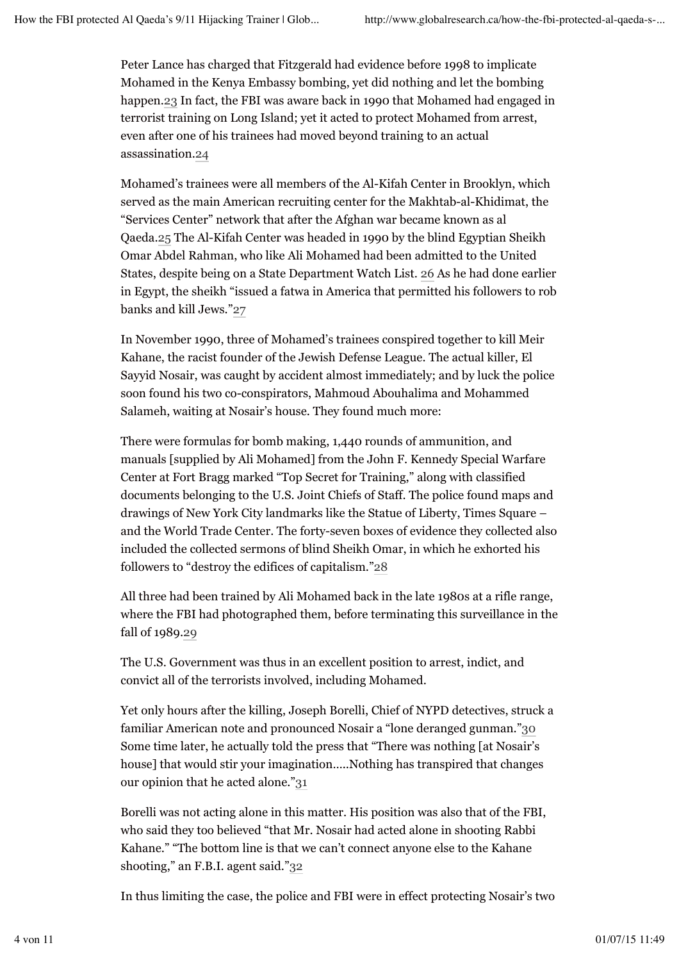Peter Lance has charged that Fitzgerald had evidence before 1998 to implicate Mohamed in the Kenya Embassy bombing, yet did nothing and let the bombing happen.23 In fact, the FBI was aware back in 1990 that Mohamed had engaged in terrorist training on Long Island; yet it acted to protect Mohamed from arrest, even after one of his trainees had moved beyond training to an actual assassination.24

Mohamed's trainees were all members of the Al-Kifah Center in Brooklyn, which served as the main American recruiting center for the Makhtab-al-Khidimat, the "Services Center" network that after the Afghan war became known as al Qaeda.25 The Al-Kifah Center was headed in 1990 by the blind Egyptian Sheikh Omar Abdel Rahman, who like Ali Mohamed had been admitted to the United States, despite being on a State Department Watch List. 26 As he had done earlier in Egypt, the sheikh "issued a fatwa in America that permitted his followers to rob banks and kill Jews."27

In November 1990, three of Mohamed's trainees conspired together to kill Meir Kahane, the racist founder of the Jewish Defense League. The actual killer, El Sayyid Nosair, was caught by accident almost immediately; and by luck the police soon found his two co-conspirators, Mahmoud Abouhalima and Mohammed Salameh, waiting at Nosair's house. They found much more:

There were formulas for bomb making, 1,440 rounds of ammunition, and manuals [supplied by Ali Mohamed] from the John F. Kennedy Special Warfare Center at Fort Bragg marked "Top Secret for Training," along with classified documents belonging to the U.S. Joint Chiefs of Staff. The police found maps and drawings of New York City landmarks like the Statue of Liberty, Times Square – and the World Trade Center. The forty-seven boxes of evidence they collected also included the collected sermons of blind Sheikh Omar, in which he exhorted his followers to "destroy the edifices of capitalism."28

All three had been trained by Ali Mohamed back in the late 1980s at a rifle range, where the FBI had photographed them, before terminating this surveillance in the fall of 1989.29

The U.S. Government was thus in an excellent position to arrest, indict, and convict all of the terrorists involved, including Mohamed.

Yet only hours after the killing, Joseph Borelli, Chief of NYPD detectives, struck a familiar American note and pronounced Nosair a "lone deranged gunman."30 Some time later, he actually told the press that "There was nothing [at Nosair's house] that would stir your imagination…..Nothing has transpired that changes our opinion that he acted alone."31

Borelli was not acting alone in this matter. His position was also that of the FBI, who said they too believed "that Mr. Nosair had acted alone in shooting Rabbi Kahane." "The bottom line is that we can't connect anyone else to the Kahane shooting," an F.B.I. agent said."32

In thus limiting the case, the police and FBI were in effect protecting Nosair's two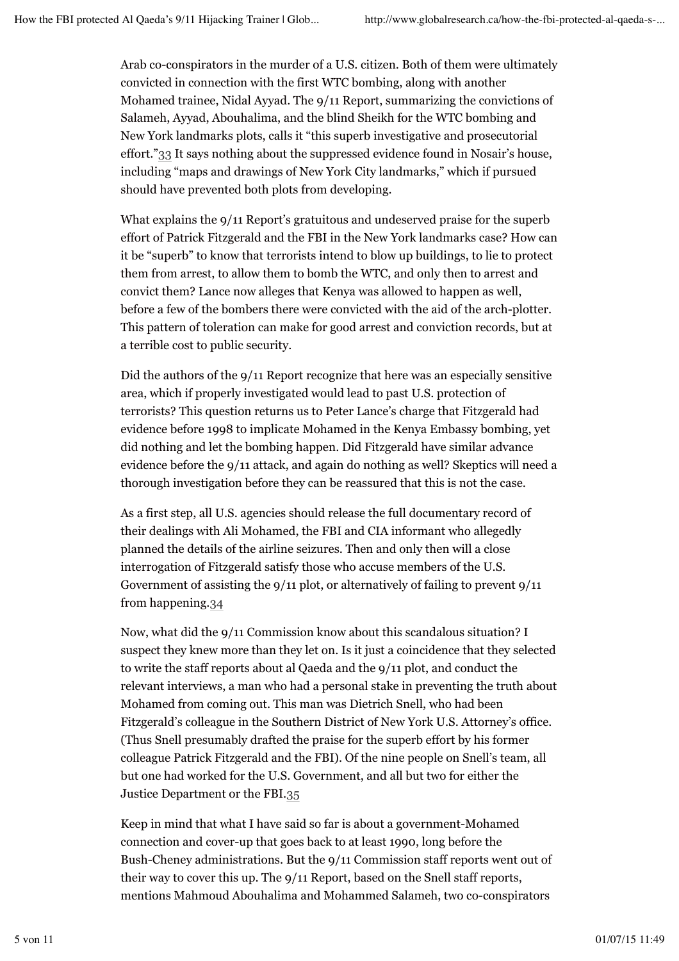Arab co-conspirators in the murder of a U.S. citizen. Both of them were ultimately convicted in connection with the first WTC bombing, along with another Mohamed trainee, Nidal Ayyad. The 9/11 Report, summarizing the convictions of Salameh, Ayyad, Abouhalima, and the blind Sheikh for the WTC bombing and New York landmarks plots, calls it "this superb investigative and prosecutorial effort."33 It says nothing about the suppressed evidence found in Nosair's house, including "maps and drawings of New York City landmarks," which if pursued should have prevented both plots from developing.

What explains the 9/11 Report's gratuitous and undeserved praise for the superb effort of Patrick Fitzgerald and the FBI in the New York landmarks case? How can it be "superb" to know that terrorists intend to blow up buildings, to lie to protect them from arrest, to allow them to bomb the WTC, and only then to arrest and convict them? Lance now alleges that Kenya was allowed to happen as well, before a few of the bombers there were convicted with the aid of the arch-plotter. This pattern of toleration can make for good arrest and conviction records, but at a terrible cost to public security.

Did the authors of the 9/11 Report recognize that here was an especially sensitive area, which if properly investigated would lead to past U.S. protection of terrorists? This question returns us to Peter Lance's charge that Fitzgerald had evidence before 1998 to implicate Mohamed in the Kenya Embassy bombing, yet did nothing and let the bombing happen. Did Fitzgerald have similar advance evidence before the 9/11 attack, and again do nothing as well? Skeptics will need a thorough investigation before they can be reassured that this is not the case.

As a first step, all U.S. agencies should release the full documentary record of their dealings with Ali Mohamed, the FBI and CIA informant who allegedly planned the details of the airline seizures. Then and only then will a close interrogation of Fitzgerald satisfy those who accuse members of the U.S. Government of assisting the 9/11 plot, or alternatively of failing to prevent 9/11 from happening.34

Now, what did the 9/11 Commission know about this scandalous situation? I suspect they knew more than they let on. Is it just a coincidence that they selected to write the staff reports about al Qaeda and the 9/11 plot, and conduct the relevant interviews, a man who had a personal stake in preventing the truth about Mohamed from coming out. This man was Dietrich Snell, who had been Fitzgerald's colleague in the Southern District of New York U.S. Attorney's office. (Thus Snell presumably drafted the praise for the superb effort by his former colleague Patrick Fitzgerald and the FBI). Of the nine people on Snell's team, all but one had worked for the U.S. Government, and all but two for either the Justice Department or the FBI.35

Keep in mind that what I have said so far is about a government-Mohamed connection and cover-up that goes back to at least 1990, long before the Bush-Cheney administrations. But the 9/11 Commission staff reports went out of their way to cover this up. The 9/11 Report, based on the Snell staff reports, mentions Mahmoud Abouhalima and Mohammed Salameh, two co-conspirators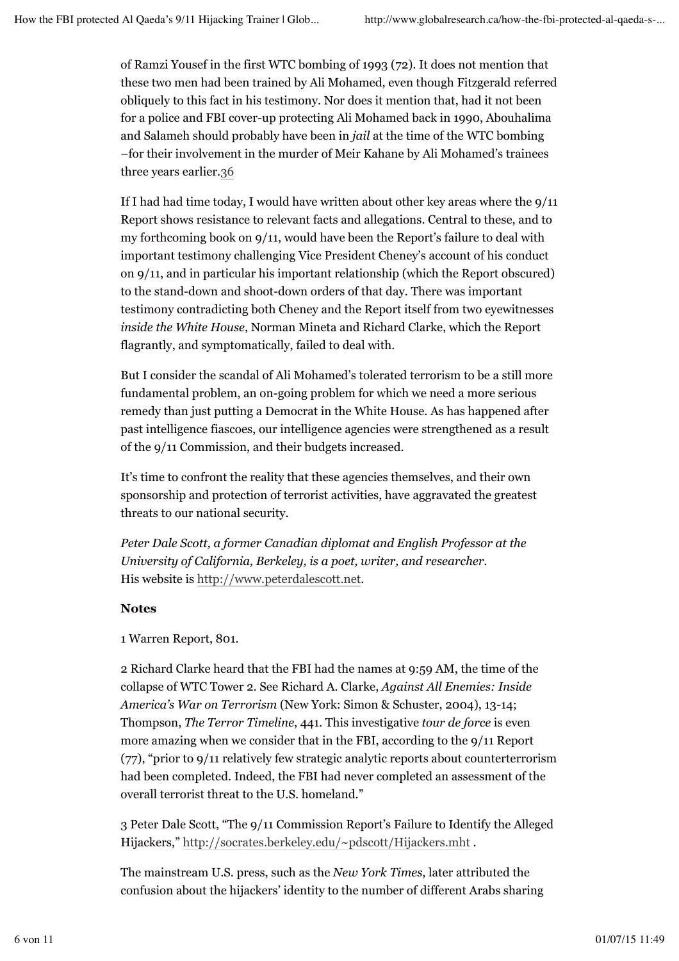of Ramzi Yousef in the first WTC bombing of 1993 (72). It does not mention that these two men had been trained by Ali Mohamed, even though Fitzgerald referred obliquely to this fact in his testimony. Nor does it mention that, had it not been for a police and FBI cover-up protecting Ali Mohamed back in 1990, Abouhalima and Salameh should probably have been in *jail* at the time of the WTC bombing –for their involvement in the murder of Meir Kahane by Ali Mohamed's trainees three years earlier.36

If I had had time today, I would have written about other key areas where the 9/11 Report shows resistance to relevant facts and allegations. Central to these, and to my forthcoming book on 9/11, would have been the Report's failure to deal with important testimony challenging Vice President Cheney's account of his conduct on 9/11, and in particular his important relationship (which the Report obscured) to the stand-down and shoot-down orders of that day. There was important testimony contradicting both Cheney and the Report itself from two eyewitnesses *inside the White House*, Norman Mineta and Richard Clarke, which the Report flagrantly, and symptomatically, failed to deal with.

But I consider the scandal of Ali Mohamed's tolerated terrorism to be a still more fundamental problem, an on-going problem for which we need a more serious remedy than just putting a Democrat in the White House. As has happened after past intelligence fiascoes, our intelligence agencies were strengthened as a result of the 9/11 Commission, and their budgets increased.

It's time to confront the reality that these agencies themselves, and their own sponsorship and protection of terrorist activities, have aggravated the greatest threats to our national security.

*Peter Dale Scott, a former Canadian diplomat and English Professor at the University of California, Berkeley, is a poet, writer, and researcher.* His website is http://www.peterdalescott.net.

## **Notes**

1 Warren Report, 801.

2 Richard Clarke heard that the FBI had the names at 9:59 AM, the time of the collapse of WTC Tower 2. See Richard A. Clarke, *Against All Enemies: Inside America's War on Terrorism* (New York: Simon & Schuster, 2004), 13-14; Thompson, *The Terror Timeline*, 441. This investigative *tour de force* is even more amazing when we consider that in the FBI, according to the 9/11 Report (77), "prior to 9/11 relatively few strategic analytic reports about counterterrorism had been completed. Indeed, the FBI had never completed an assessment of the overall terrorist threat to the U.S. homeland."

3 Peter Dale Scott, "The 9/11 Commission Report's Failure to Identify the Alleged Hijackers," http://socrates.berkeley.edu/~pdscott/Hijackers.mht .

The mainstream U.S. press, such as the *New York Times*, later attributed the confusion about the hijackers' identity to the number of different Arabs sharing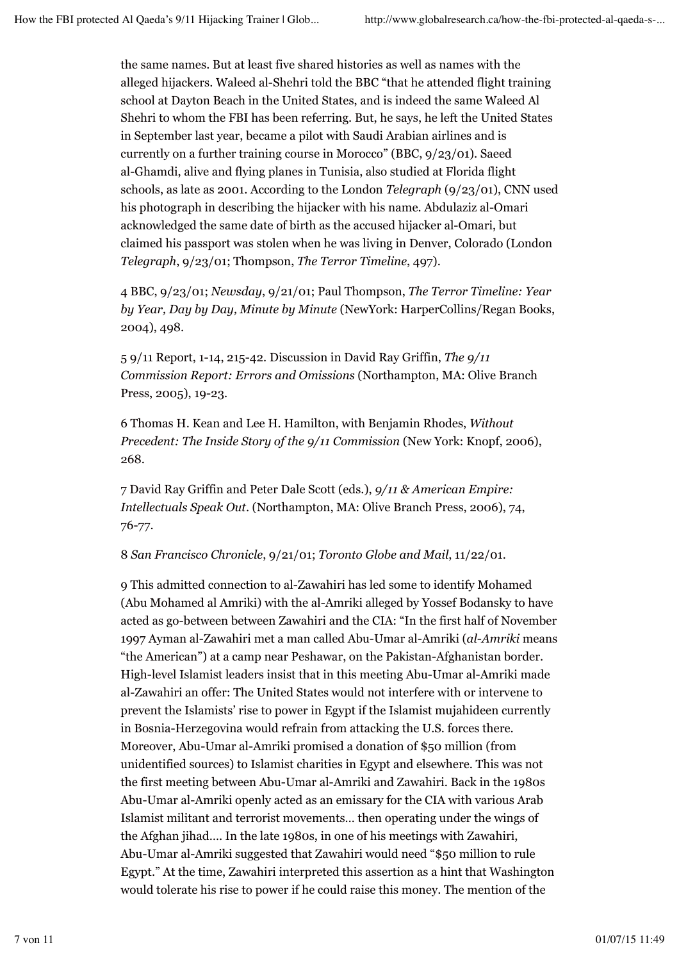the same names. But at least five shared histories as well as names with the alleged hijackers. Waleed al-Shehri told the BBC "that he attended flight training school at Dayton Beach in the United States, and is indeed the same Waleed Al Shehri to whom the FBI has been referring. But, he says, he left the United States in September last year, became a pilot with Saudi Arabian airlines and is currently on a further training course in Morocco" (BBC, 9/23/01). Saeed al-Ghamdi, alive and flying planes in Tunisia, also studied at Florida flight schools, as late as 2001. According to the London *Telegraph* (9/23/01), CNN used his photograph in describing the hijacker with his name. Abdulaziz al-Omari acknowledged the same date of birth as the accused hijacker al-Omari, but claimed his passport was stolen when he was living in Denver, Colorado (London *Telegraph*, 9/23/01; Thompson, *The Terror Timeline*, 497).

4 BBC, 9/23/01; *Newsday*, 9/21/01; Paul Thompson, *The Terror Timeline: Year by Year, Day by Day, Minute by Minute* (NewYork: HarperCollins/Regan Books, 2004), 498.

5 9/11 Report, 1-14, 215-42. Discussion in David Ray Griffin, *The 9/11 Commission Report: Errors and Omissions* (Northampton, MA: Olive Branch Press, 2005), 19-23.

6 Thomas H. Kean and Lee H. Hamilton, with Benjamin Rhodes, *Without Precedent: The Inside Story of the 9/11 Commission (New York: Knopf, 2006),* 268.

7 David Ray Griffin and Peter Dale Scott (eds.), *9/11 & American Empire: Intellectuals Speak Out*. (Northampton, MA: Olive Branch Press, 2006), 74, 76-77.

8 *San Francisco Chronicle*, 9/21/01; *Toronto Globe and Mail*, 11/22/01.

9 This admitted connection to al-Zawahiri has led some to identify Mohamed (Abu Mohamed al Amriki) with the al-Amriki alleged by Yossef Bodansky to have acted as go-between between Zawahiri and the CIA: "In the first half of November 1997 Ayman al-Zawahiri met a man called Abu-Umar al-Amriki (*al-Amriki* means "the American") at a camp near Peshawar, on the Pakistan-Afghanistan border. High-level Islamist leaders insist that in this meeting Abu-Umar al-Amriki made al-Zawahiri an offer: The United States would not interfere with or intervene to prevent the Islamists' rise to power in Egypt if the Islamist mujahideen currently in Bosnia-Herzegovina would refrain from attacking the U.S. forces there. Moreover, Abu-Umar al-Amriki promised a donation of \$50 million (from unidentified sources) to Islamist charities in Egypt and elsewhere. This was not the first meeting between Abu-Umar al-Amriki and Zawahiri. Back in the 1980s Abu-Umar al-Amriki openly acted as an emissary for the CIA with various Arab Islamist militant and terrorist movements… then operating under the wings of the Afghan jihad…. In the late 1980s, in one of his meetings with Zawahiri, Abu-Umar al-Amriki suggested that Zawahiri would need "\$50 million to rule Egypt." At the time, Zawahiri interpreted this assertion as a hint that Washington would tolerate his rise to power if he could raise this money. The mention of the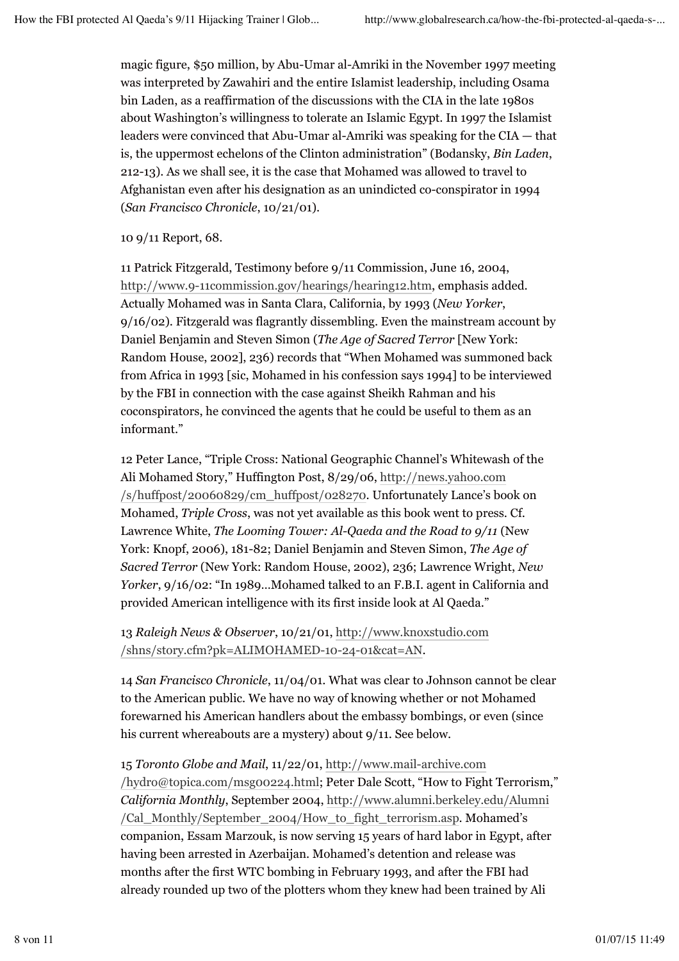magic figure, \$50 million, by Abu-Umar al-Amriki in the November 1997 meeting was interpreted by Zawahiri and the entire Islamist leadership, including Osama bin Laden, as a reaffirmation of the discussions with the CIA in the late 1980s about Washington's willingness to tolerate an Islamic Egypt. In 1997 the Islamist leaders were convinced that Abu-Umar al-Amriki was speaking for the CIA — that is, the uppermost echelons of the Clinton administration" (Bodansky, *Bin Laden*, 212-13). As we shall see, it is the case that Mohamed was allowed to travel to Afghanistan even after his designation as an unindicted co-conspirator in 1994 (*San Francisco Chronicle*, 10/21/01).

10 9/11 Report, 68.

11 Patrick Fitzgerald, Testimony before 9/11 Commission, June 16, 2004, http://www.9-11commission.gov/hearings/hearing12.htm, emphasis added. Actually Mohamed was in Santa Clara, California, by 1993 (*New Yorker*, 9/16/02). Fitzgerald was flagrantly dissembling. Even the mainstream account by Daniel Benjamin and Steven Simon (*The Age of Sacred Terror* [New York: Random House, 2002], 236) records that "When Mohamed was summoned back from Africa in 1993 [sic, Mohamed in his confession says 1994] to be interviewed by the FBI in connection with the case against Sheikh Rahman and his coconspirators, he convinced the agents that he could be useful to them as an informant."

12 Peter Lance, "Triple Cross: National Geographic Channel's Whitewash of the Ali Mohamed Story," Huffington Post, 8/29/06, http://news.yahoo.com /s/huffpost/20060829/cm\_huffpost/028270. Unfortunately Lance's book on Mohamed, *Triple Cross*, was not yet available as this book went to press. Cf. Lawrence White, *The Looming Tower: Al-Qaeda and the Road to 9/11* (New York: Knopf, 2006), 181-82; Daniel Benjamin and Steven Simon, *The Age of Sacred Terror* (New York: Random House, 2002), 236; Lawrence Wright, *New Yorker*, 9/16/02: "In 1989…Mohamed talked to an F.B.I. agent in California and provided American intelligence with its first inside look at Al Qaeda."

13 *Raleigh News & Observer*, 10/21/01, http://www.knoxstudio.com /shns/story.cfm?pk=ALIMOHAMED-10-24-01&cat=AN.

14 *San Francisco Chronicle*, 11/04/01. What was clear to Johnson cannot be clear to the American public. We have no way of knowing whether or not Mohamed forewarned his American handlers about the embassy bombings, or even (since his current whereabouts are a mystery) about  $9/11$ . See below.

15 *Toronto Globe and Mail*, 11/22/01, http://www.mail-archive.com /hydro@topica.com/msg00224.html; Peter Dale Scott, "How to Fight Terrorism," *California Monthly*, September 2004, http://www.alumni.berkeley.edu/Alumni /Cal\_Monthly/September\_2004/How\_to\_fight\_terrorism.asp. Mohamed's companion, Essam Marzouk, is now serving 15 years of hard labor in Egypt, after having been arrested in Azerbaijan. Mohamed's detention and release was months after the first WTC bombing in February 1993, and after the FBI had already rounded up two of the plotters whom they knew had been trained by Ali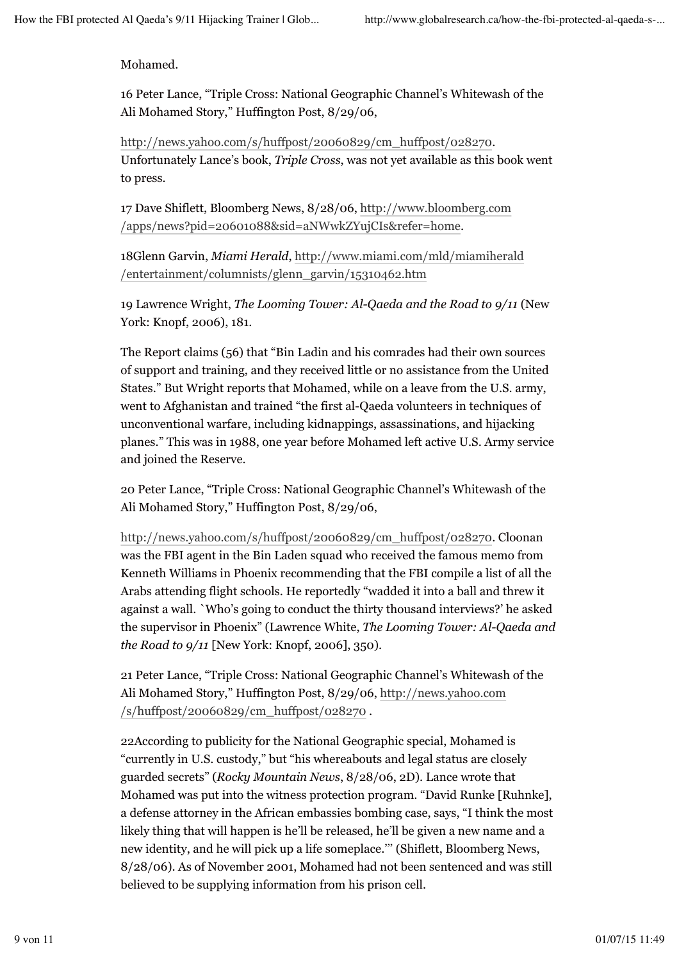Mohamed.

16 Peter Lance, "Triple Cross: National Geographic Channel's Whitewash of the Ali Mohamed Story," Huffington Post, 8/29/06,

http://news.yahoo.com/s/huffpost/20060829/cm\_huffpost/028270. Unfortunately Lance's book, *Triple Cross*, was not yet available as this book went to press.

17 Dave Shiflett, Bloomberg News, 8/28/06, http://www.bloomberg.com /apps/news?pid=20601088&sid=aNWwkZYujCIs&refer=home.

18Glenn Garvin, *Miami Herald*, http://www.miami.com/mld/miamiherald /entertainment/columnists/glenn\_garvin/15310462.htm

19 Lawrence Wright, *The Looming Tower: Al-Qaeda and the Road to 9/11* (New York: Knopf, 2006), 181.

The Report claims (56) that "Bin Ladin and his comrades had their own sources of support and training, and they received little or no assistance from the United States." But Wright reports that Mohamed, while on a leave from the U.S. army, went to Afghanistan and trained "the first al-Qaeda volunteers in techniques of unconventional warfare, including kidnappings, assassinations, and hijacking planes." This was in 1988, one year before Mohamed left active U.S. Army service and joined the Reserve.

20 Peter Lance, "Triple Cross: National Geographic Channel's Whitewash of the Ali Mohamed Story," Huffington Post, 8/29/06,

http://news.yahoo.com/s/huffpost/20060829/cm\_huffpost/028270. Cloonan was the FBI agent in the Bin Laden squad who received the famous memo from Kenneth Williams in Phoenix recommending that the FBI compile a list of all the Arabs attending flight schools. He reportedly "wadded it into a ball and threw it against a wall. `Who's going to conduct the thirty thousand interviews?' he asked the supervisor in Phoenix" (Lawrence White, *The Looming Tower: Al-Qaeda and the Road to 9/11* [New York: Knopf, 2006], 350).

21 Peter Lance, "Triple Cross: National Geographic Channel's Whitewash of the Ali Mohamed Story," Huffington Post, 8/29/06, http://news.yahoo.com /s/huffpost/20060829/cm\_huffpost/028270 .

22According to publicity for the National Geographic special, Mohamed is "currently in U.S. custody," but "his whereabouts and legal status are closely guarded secrets" (*Rocky Mountain News*, 8/28/06, 2D). Lance wrote that Mohamed was put into the witness protection program. "David Runke [Ruhnke], a defense attorney in the African embassies bombing case, says, "I think the most likely thing that will happen is he'll be released, he'll be given a new name and a new identity, and he will pick up a life someplace.''' (Shiflett, Bloomberg News, 8/28/06). As of November 2001, Mohamed had not been sentenced and was still believed to be supplying information from his prison cell.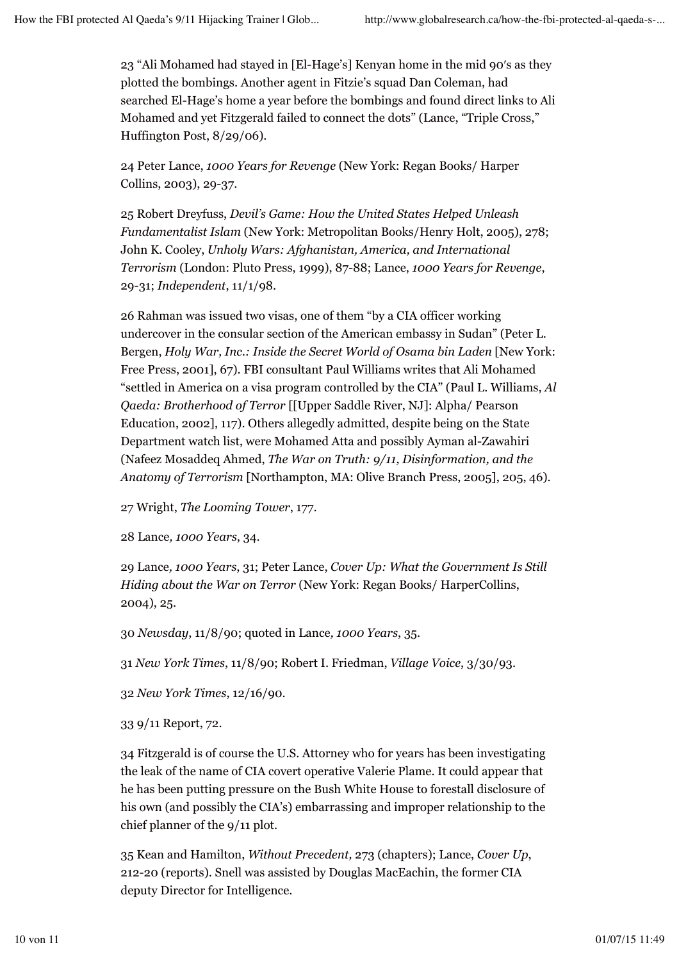23 "Ali Mohamed had stayed in [El-Hage's] Kenyan home in the mid 90′s as they plotted the bombings. Another agent in Fitzie's squad Dan Coleman, had searched El-Hage's home a year before the bombings and found direct links to Ali Mohamed and yet Fitzgerald failed to connect the dots" (Lance, "Triple Cross," Huffington Post, 8/29/06).

24 Peter Lance, *1000 Years for Revenge* (New York: Regan Books/ Harper Collins, 2003), 29-37.

25 Robert Dreyfuss, *Devil's Game: How the United States Helped Unleash Fundamentalist Islam* (New York: Metropolitan Books/Henry Holt, 2005), 278; John K. Cooley, *Unholy Wars: Afghanistan, America, and International Terrorism* (London: Pluto Press, 1999), 87-88; Lance, *1000 Years for Revenge*, 29-31; *Independent*, 11/1/98.

26 Rahman was issued two visas, one of them "by a CIA officer working undercover in the consular section of the American embassy in Sudan" (Peter L. Bergen, *Holy War, Inc.: Inside the Secret World of Osama bin Laden* [New York: Free Press, 2001], 67). FBI consultant Paul Williams writes that Ali Mohamed "settled in America on a visa program controlled by the CIA" (Paul L. Williams, *Al Qaeda: Brotherhood of Terror* [[Upper Saddle River, NJ]: Alpha/ Pearson Education, 2002], 117). Others allegedly admitted, despite being on the State Department watch list, were Mohamed Atta and possibly Ayman al-Zawahiri (Nafeez Mosaddeq Ahmed, *The War on Truth: 9/11, Disinformation, and the Anatomy of Terrorism* [Northampton, MA: Olive Branch Press, 2005], 205, 46).

27 Wright, *The Looming Tower*, 177.

28 Lance*, 1000 Years*, 34.

29 Lance*, 1000 Years*, 31; Peter Lance, *Cover Up: What the Government Is Still Hiding about the War on Terror* (New York: Regan Books/ HarperCollins, 2004), 25.

30 *Newsday*, 11/8/90; quoted in Lance*, 1000 Years*, 35.

31 *New York Times*, 11/8/90; Robert I. Friedman, *Village Voice*, 3/30/93.

32 *New York Times*, 12/16/90.

33 9/11 Report, 72.

34 Fitzgerald is of course the U.S. Attorney who for years has been investigating the leak of the name of CIA covert operative Valerie Plame. It could appear that he has been putting pressure on the Bush White House to forestall disclosure of his own (and possibly the CIA's) embarrassing and improper relationship to the chief planner of the 9/11 plot.

35 Kean and Hamilton, *Without Precedent,* 273 (chapters); Lance, *Cover Up*, 212-20 (reports). Snell was assisted by Douglas MacEachin, the former CIA deputy Director for Intelligence.